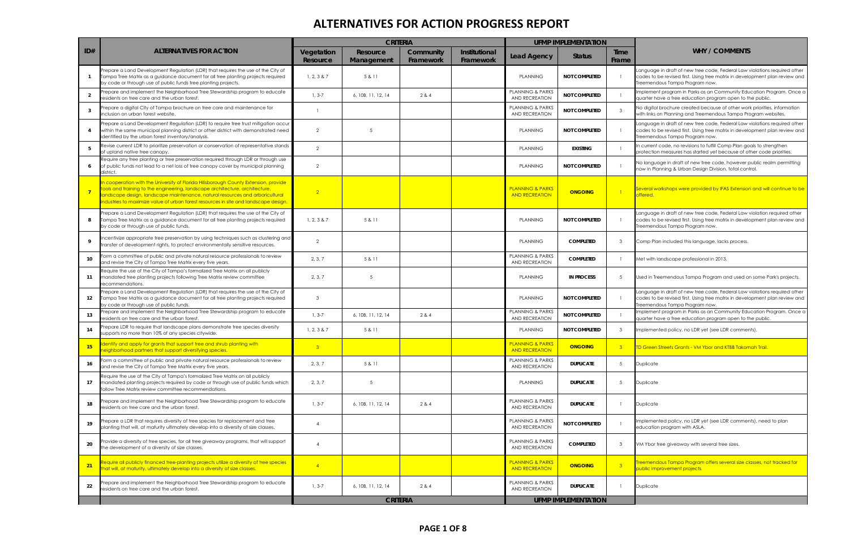|                 |                                                                                                                                                                                                                                                                                                                                             | <b>CRITERIA</b>        |                        |                        |                            | <b>UFMP IMPLEMENTATION</b>                           |                            |                         |                                                                                                                                                                                            |
|-----------------|---------------------------------------------------------------------------------------------------------------------------------------------------------------------------------------------------------------------------------------------------------------------------------------------------------------------------------------------|------------------------|------------------------|------------------------|----------------------------|------------------------------------------------------|----------------------------|-------------------------|--------------------------------------------------------------------------------------------------------------------------------------------------------------------------------------------|
| ID#             | ALTERNATIVES FOR ACTION                                                                                                                                                                                                                                                                                                                     | Vegetation<br>Resource | Resource<br>Management | Community<br>Framework | Institutional<br>Framework | <b>Lead Agency</b>                                   | <b>Status</b>              | <b>Time</b><br>Frame    | <b>WHY / COMMENTS</b>                                                                                                                                                                      |
|                 | Prepare a Land Development Regulation (LDR) that requires the use of the City of<br>Campa Tree Matrix as a guidance document for all tree planting projects required<br>by code or through use of public funds tree planting projects.                                                                                                      | 1, 2, 3 & 87           | 5 & 11                 |                        |                            | <b>PLANNING</b>                                      | <b>NOT COMPLETED</b>       |                         | anguage in draft of new tree code, Federal Law violations required other<br>codes to be revised first. Using tree matrix in development plan review and<br>reemendous Tampa Program now.   |
| $\overline{2}$  | Prepare and implement the Neighborhood Tree Stewardship program to educate<br>residents on tree care and the urban forest.                                                                                                                                                                                                                  | $1, 3-7$               | 6, 10B, 11, 12, 14     | 2 & 4                  |                            | PLANNING & PARKS<br>AND RECREATION                   | <b>NOT COMPLETED</b>       |                         | Implement program in Parks as an Community Education Program. Once a<br>quarter have a free education program open to the public.                                                          |
| -3              | Prepare a digital City of Tampa brochure on tree care and maintenance for<br>inclusion on urban forest website.                                                                                                                                                                                                                             | $\overline{1}$         |                        |                        |                            | PLANNING & PARKS<br>AND RECREATION                   | <b>NOT COMPLETED</b>       | $\overline{3}$          | No digital brochure created because of other work priorities, information<br>with links on Planning and Treemendous Tampa Program websites.                                                |
|                 | Prepare a Land Development Regulation (LDR) to require tree trust mitigation occur<br>within the same municipal planning district or other district with demonstrated need<br>identified by the urban forest inventory/analysis.                                                                                                            | $\overline{2}$         | -5                     |                        |                            | <b>PLANNING</b>                                      | <b>NOT COMPLETED</b>       |                         | anguage in draft of new tree code, Federal Law violations required other<br>codes to be revised first. Using tree matrix in development plan review and<br>Treemendous Tampa Program now.  |
|                 | Revise current LDR to prioritize preservation or conservation of representative stands<br>of upland native tree canopy.                                                                                                                                                                                                                     | 2                      |                        |                        |                            | <b>PLANNING</b>                                      | <b>EXISTING</b>            |                         | In current code, no revisions to fulfill Comp Plan goals to strengthen<br>protection measures has started yet because of other code priorities.                                            |
| 6               | Require any tree planting or tree preservation required through LDR or through use<br>of public funds not lead to a net loss of tree canopy cover by municipal planning<br>district.                                                                                                                                                        | $\overline{2}$         |                        |                        |                            | <b>PLANNING</b>                                      | <b>NOT COMPLETED</b>       |                         | No language in draft of new tree code, however public realm permitting<br>now in Planning & Urban Design Division, total control.                                                          |
|                 | n cooperation with the University of Florida Hillsborough County Extension, provide<br>tools and training to the engineering, landscape architecture, architecture,<br>andscape design, landscape maintenance, natural resources and arboricultural<br>industries to maximize value of urban forest resources in site and landscape design. | $\overline{2}$         |                        |                        |                            | <b>PLANNING &amp; PARKS</b><br><b>AND RECREATION</b> | <b>ONGOING</b>             |                         | Several workshops were provided by IFAS Extension and will continue to be<br>offered.                                                                                                      |
| 8               | Prepare a Land Development Regulation (LDR) that requires the use of the City of<br>Tampa Tree Matrix as a guidance document for all tree planting projects required<br>by code or through use of public funds.                                                                                                                             | 1, 2, 3 & 87           | 5 & 11                 |                        |                            | <b>PLANNING</b>                                      | <b>NOT COMPLETED</b>       |                         | anguage in draft of new tree code, Federal Law violation required other<br>codes to be revised first. Using tree matrix in development plan review and<br>Treemendous Tampa Program now.   |
| 9               | ncentivize appropriate tree preservation by using techniques such as clustering and<br>ransfer of development rights, to protect environmentally sensitive resources.                                                                                                                                                                       | $\overline{2}$         |                        |                        |                            | <b>PLANNING</b>                                      | <b>COMPLETED</b>           | -3                      | Comp Plan included this language, lacks process.                                                                                                                                           |
| 10              | form a committee of public and private natural resource professionals to review<br>and revise the City of Tampa Tree Matrix every five years.                                                                                                                                                                                               | 2, 3, 7                | 5 & 11                 |                        |                            | PLANNING & PARKS<br>AND RECREATION                   | <b>COMPLETED</b>           |                         | Met with landscape professional in 2013.                                                                                                                                                   |
| 11              | Require the use of the City of Tampa's formalized Tree Matrix on all publicly<br>mandated tree planting projects following Tree Matrix review committee<br>recommendations.                                                                                                                                                                 | 2, 3, 7                | -5                     |                        |                            | <b>PLANNING</b>                                      | <b>IN PROCESS</b>          | -5                      | Used in Treemendous Tampa Program and used on some Park's projects.                                                                                                                        |
| 12              | Prepare a Land Development Regulation (LDR) that requires the use of the City of<br>Tampa Tree Matrix as a guidance document for all tree planting projects required<br>by code or through use of public funds.                                                                                                                             | $\mathbf{3}$           |                        |                        |                            | <b>PLANNING</b>                                      | <b>NOT COMPLETED</b>       |                         | Language in draft of new tree code, Federal Law violations required other<br>codes to be revised first. Using tree matrix in development plan review and<br>Treemendous Tampa Program now. |
| 13              | repare and implement the Neighborhood Tree Stewardship program to educate<br>residents on tree care and the urban forest.                                                                                                                                                                                                                   | $1, 3-7$               | 6, 10B, 11, 12, 14     | 2 & 4                  |                            | PLANNING & PARKS<br>AND RECREATION                   | <b>NOT COMPLETED</b>       |                         | mplement program in Parks as an Community Education Program. Once a<br>quarter have a free education program open to the public.                                                           |
| 14              | Prepare LDR to require that landscape plans demonstrate tree species diversity<br>upports no more than 10% of any species citywide.                                                                                                                                                                                                         | 1, 2, 3 & 87           | 5 & 11                 |                        |                            | <b>PLANNING</b>                                      | <b>NOT COMPLETED</b>       | - 3                     | mplemented policy, no LDR yet (see LDR comments).                                                                                                                                          |
| 15 <sub>1</sub> | Identify and apply for grants that support tree and shrub planting with<br>eighborhood partners that support diversifying species.                                                                                                                                                                                                          |                        |                        |                        |                            | <b>PLANNING &amp; PARKS</b><br><b>AND RECREATION</b> | <b>ONGOING</b>             |                         | <b>TD Green Streets Grants - VM Ybor and KTBB Takomah Trail.</b>                                                                                                                           |
| 16              | Form a committee of public and private natural resource professionals to review<br>and revise the City of Tampa Tree Matrix every five years.                                                                                                                                                                                               | 2, 3, 7                | 5 & 11                 |                        |                            | <b>PLANNING &amp; PARKS</b><br><b>AND RECREATION</b> | <b>DUPLICATE</b>           | $\overline{5}$          | Duplicate                                                                                                                                                                                  |
| 17              | Require the use of the City of Tampa's formalized Tree Matrix on all publicly<br>mandated planting projects required by code or through use of public funds which<br>follow Tree Matrix review committee recommendations.                                                                                                                   | 2, 3, 7                | $5\overline{)}$        |                        |                            | <b>PLANNING</b>                                      | <b>DUPLICATE</b>           | -5                      | Duplicate                                                                                                                                                                                  |
| 18              | Prepare and implement the Neighborhood Tree Stewardship program to educate<br>residents on tree care and the urban forest.                                                                                                                                                                                                                  | $1, 3-7$               | 6, 10B, 11, 12, 14     | 2 & 4                  |                            | <b>PLANNING &amp; PARKS</b><br>AND RECREATION        | <b>DUPLICATE</b>           |                         | Duplicate                                                                                                                                                                                  |
| 19              | Prepare a LDR that requires diversity of tree species for replacement and tree<br>planting that will, at maturity ultimately develop into a diversity of size classes.                                                                                                                                                                      | $\overline{4}$         |                        |                        |                            | PLANNING & PARKS<br><b>AND RECREATION</b>            | NOT COMPLETED              |                         | mplemented policy, no LDR yet (see LDR comments), need to plan<br>education program with ASLA.                                                                                             |
| 20              | Provide a diversity of tree species, for all tree giveaway programs, that will support<br>the development of a diversity of size classes.                                                                                                                                                                                                   | $\overline{4}$         |                        |                        |                            | PLANNING & PARKS<br>AND RECREATION                   | <b>COMPLETED</b>           | - 3                     | VM Ybor tree giveaway with several tree sizes.                                                                                                                                             |
| 21              | Require all publicly financed tree-planting projects utilize a diversity of tree species<br>that will, at maturity, ultimately develop into a diversity of size classes.                                                                                                                                                                    | $\overline{4}$         |                        |                        |                            | <b>PLANNING &amp; PARKS</b><br><b>AND RECREATION</b> | <b>ONGOING</b>             | $\overline{\mathbf{3}}$ | Treemendous Tampa Program offers several size classes, not tracked for<br>public improvement projects.                                                                                     |
| 22              | Prepare and implement the Neighborhood Tree Stewardship program to educate<br>residents on tree care and the urban forest.                                                                                                                                                                                                                  | $1, 3-7$               | 6, 10B, 11, 12, 14     | 2 & 4                  |                            | PLANNING & PARKS<br>AND RECREATION                   | <b>DUPLICATE</b>           |                         | Duplicate                                                                                                                                                                                  |
|                 |                                                                                                                                                                                                                                                                                                                                             | <b>CRITERIA</b>        |                        |                        |                            |                                                      | <b>UFMP IMPLEMENTATION</b> |                         |                                                                                                                                                                                            |

| è<br>١ė | <b>WHY / COMMENTS</b>                                                                                                                                                                      |
|---------|--------------------------------------------------------------------------------------------------------------------------------------------------------------------------------------------|
|         | Language in draft of new tree code, Federal Law violations required other<br>codes to be revised first. Using tree matrix in development plan review and<br>Treemendous Tampa Program now. |
|         | Implement program in Parks as an Community Education Program. Once a<br>quarter have a free education program open to the public.                                                          |
|         | No digital brochure created because of other work priorities, information<br>with links on Planning and Treemendous Tampa Program websites.                                                |
|         | Language in draft of new tree code, Federal Law violations required other<br>codes to be revised first. Using tree matrix in development plan review and<br>Treemendous Tampa Program now. |
|         | In current code, no revisions to fulfill Comp Plan goals to strengthen<br>protection measures has started yet because of other code priorities.                                            |
|         | No language in draft of new tree code, however public realm permitting<br>now in Planning & Urban Design Division, total control.                                                          |
|         | Several workshops were provided by IFAS Extension and will continue to be<br>offered.                                                                                                      |
|         | Language in draft of new tree code, Federal Law violation required other<br>codes to be revised first. Using tree matrix in development plan review and<br>Treemendous Tampa Program now.  |
|         | Comp Plan included this language, lacks process.                                                                                                                                           |
|         | Met with landscape professional in 2013.                                                                                                                                                   |
|         | Used in Treemendous Tampa Program and used on some Park's projects.                                                                                                                        |
|         | Language in draft of new tree code, Federal Law violations required other<br>codes to be revised first. Using tree matrix in development plan review and<br>Treemendous Tampa Program now. |
|         | Implement program in Parks as an Community Education Program. Once a<br>quarter have a free education program open to the public.                                                          |
|         | Implemented policy, no LDR yet (see LDR comments).                                                                                                                                         |
|         | <u> TD Green Streets Grants - VM Ybor and KTBB Takomah Trail.</u>                                                                                                                          |
|         | Duplicate                                                                                                                                                                                  |
|         | Duplicate                                                                                                                                                                                  |
|         | Duplicate                                                                                                                                                                                  |
|         | Implemented policy, no LDR yet (see LDR comments), need to plan<br>education program with ASLA.                                                                                            |
|         | VM Ybor tree giveaway with several tree sizes.                                                                                                                                             |
|         | Treemendous Tampa Program offers several size classes, not tracked for<br>public improvement projects.                                                                                     |
|         | Duplicate                                                                                                                                                                                  |
|         |                                                                                                                                                                                            |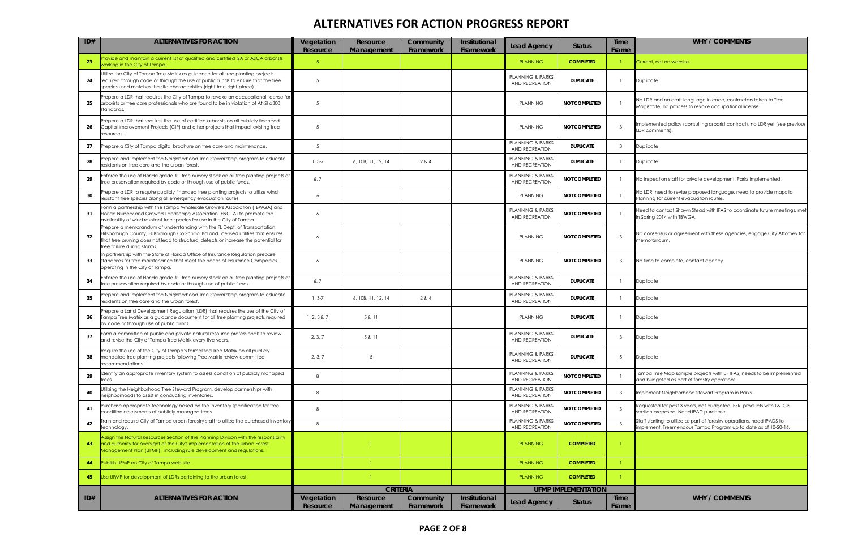| $ $ ID# | <b>ALTERNATIVES FOR ACTION</b>                                                                                                                                                                                                                                                         | Vegetation<br>Resource | Resource<br>Management | Community<br>Framework | Institutional<br>Framework | <b>Lead Agency</b>                                   | <b>Status</b>              | <b>Time</b><br>Frame | <b>WHY / COMMENTS</b>                                                                                                                     |
|---------|----------------------------------------------------------------------------------------------------------------------------------------------------------------------------------------------------------------------------------------------------------------------------------------|------------------------|------------------------|------------------------|----------------------------|------------------------------------------------------|----------------------------|----------------------|-------------------------------------------------------------------------------------------------------------------------------------------|
| 23      | rovide and maintain a current list of qualified and certified ISA or ASCA arborists<br>working in the City of Tampa.                                                                                                                                                                   | 5 <sub>1</sub>         |                        |                        |                            | <b>PLANNING</b>                                      | <b>COMPLETED</b>           |                      | Current, not on website.                                                                                                                  |
| 24      | Utilize the City of Tampa Tree Matrix as guidance for all tree planting projects<br>required through code or through the use of public funds to ensure that the tree<br>species used matches the site characteristics (right-tree-right-place).                                        | 5                      |                        |                        |                            | <b>PLANNING &amp; PARKS</b><br><b>AND RECREATION</b> | <b>DUPLICATE</b>           |                      | Duplicate                                                                                                                                 |
| 25      | Prepare a LDR that requires the City of Tampa to revoke an occupational license for<br>arborists or tree care professionals who are found to be in violation of ANSI a300<br>standards.                                                                                                | 5                      |                        |                        |                            | <b>PLANNING</b>                                      | <b>NOT COMPLETED</b>       |                      | No LDR and no draft language in code, contractors taken to Tree<br>Magistrate, no process to revoke occupational license.                 |
| 26      | Prepare a LDR that requires the use of certified arborists on all publicly financed<br>Capital Improvement Projects (CIP) and other projects that impact existing tree<br>resources.                                                                                                   | 5                      |                        |                        |                            | <b>PLANNING</b>                                      | <b>NOT COMPLETED</b>       | -3                   | mplemented policy (consulting arborist contract), no LDR yet (see previous<br>LDR comments).                                              |
| 27      | Prepare a City of Tampa digital brochure on tree care and maintenance.                                                                                                                                                                                                                 | 5                      |                        |                        |                            | <b>PLANNING &amp; PARKS</b><br>AND RECREATION        | <b>DUPLICATE</b>           | -3                   | Duplicate                                                                                                                                 |
| 28      | Prepare and implement the Neighborhood Tree Stewardship program to educate<br>residents on tree care and the urban forest.                                                                                                                                                             | $1, 3-7$               | 6, 10B, 11, 12, 14     | 2 & 4                  |                            | <b>PLANNING &amp; PARKS</b><br>AND RECREATION        | <b>DUPLICATE</b>           |                      | <b>Duplicate</b>                                                                                                                          |
| 29      | Enforce the use of Florida grade #1 tree nursery stock on all tree planting projects or<br>tree preservation required by code or through use of public funds.                                                                                                                          | 6,7                    |                        |                        |                            | PLANNING & PARKS<br>AND RECREATION                   | NOT COMPLETED              |                      | No inspection staff for private development, Parks implemented.                                                                           |
| 30      | Prepare a LDR to require publicly financed tree planting projects to utilize wind<br>resistant tree species along all emergency evacuation routes.                                                                                                                                     | 6                      |                        |                        |                            | <b>PLANNING</b>                                      | <b>NOT COMPLETED</b>       |                      | No LDR, need to revise proposed language, need to provide maps to<br>Planning for current evacuation routes.                              |
| 31      | Form a partnership with the Tampa Wholesale Growers Association (TBWGA) and<br>Florida Nursery and Growers Landscape Association (FNGLA) to promote the<br>availability of wind resistant tree species for use in the City of Tampa.                                                   | 6                      |                        |                        |                            | <b>PLANNING &amp; PARKS</b><br>AND RECREATION        | <b>NOT COMPLETED</b>       |                      | Need to contact Shawn Stead with IFAS to coordinate future meetings, met<br>in Spring 2014 with TBWGA.                                    |
| 32      | Prepare a memorandum of understanding with the FL Dept. of Transportation,<br>Hillsborough County, Hillsborough Co School Bd and licensed utilities that ensures<br>that tree pruning does not lead to structural defects or increase the potential for<br>tree failure during storms. | 6                      |                        |                        |                            | <b>PLANNING</b>                                      | <b>NOT COMPLETED</b>       | -3                   | No consensus or agreement with these agencies, engage City Attorney for<br>memorandum.                                                    |
| 33      | In partnership with the State of Florida Office of Insurance Regulation prepare<br>standards for tree maintenance that meet the needs of Insurance Companies<br>operating in the City of Tampa.                                                                                        | 6                      |                        |                        |                            | PLANNING                                             | <b>NOT COMPLETED</b>       | - 3                  | No time to complete, contact agency.                                                                                                      |
| 34      | Enforce the use of Florida grade #1 tree nursery stock on all tree planting projects or<br>tree preservation required by code or through use of public funds.                                                                                                                          | 6, 7                   |                        |                        |                            | <b>PLANNING &amp; PARKS</b><br>AND RECREATION        | <b>DUPLICATE</b>           |                      | Duplicate                                                                                                                                 |
| 35      | repare and implement the Neighborhood Tree Stewardship program to educate<br>residents on tree care and the urban forest.                                                                                                                                                              | $1, 3-7$               | 6, 10B, 11, 12, 14     | 2 & 4                  |                            | <b>PLANNING &amp; PARKS</b><br>AND RECREATION        | <b>DUPLICATE</b>           |                      | Duplicate                                                                                                                                 |
| 36      | Prepare a Land Development Regulation (LDR) that requires the use of the City of<br>Tampa Tree Matrix as a guidance document for all tree planting projects required<br>by code or through use of public funds.                                                                        | 1, 2, 3 & 87           | 5 & 11                 |                        |                            | PLANNING                                             | <b>DUPLICATE</b>           |                      | Duplicate                                                                                                                                 |
| 37      | Form a committee of public and private natural resource professionals to review<br>and revise the City of Tampa Tree Matrix every five years.                                                                                                                                          | 2, 3, 7                | 5& 11                  |                        |                            | <b>PLANNING &amp; PARKS</b><br><b>AND RECREATION</b> | <b>DUPLICATE</b>           | -3                   | Duplicate                                                                                                                                 |
| 38      | Require the use of the City of Tampa's formalized Tree Matrix on all publicly<br>mandated tree planting projects following Tree Matrix review committee<br>recommendations.                                                                                                            | 2, 3, 7                | 5                      |                        |                            | <b>PLANNING &amp; PARKS</b><br>AND RECREATION        | <b>DUPLICATE</b>           | -5                   | Duplicate                                                                                                                                 |
| 39      | dentify an appropriate inventory system to assess condition of publicly managed<br>rees                                                                                                                                                                                                | 8                      |                        |                        |                            | <b>PLANNING &amp; PARKS</b><br>AND RECREATION        | <b>NOT COMPLETED</b>       |                      | ampa Tree Map sample projects with UF IFAS, needs to be implemented<br>and budgeted as part of forestry operations.                       |
| 40      | Jtilizing the Neighborhood Tree Steward Program, develop partnerships with<br>neighborhoods to assist in conducting inventories.                                                                                                                                                       | 8                      |                        |                        |                            | <b>PLANNING &amp; PARKS</b><br>AND RECREATION        | <b>NOT COMPLETED</b>       | -3                   | Implement Neighborhood Stewart Program in Parks.                                                                                          |
| 41      | Purchase appropriate technology based on the inventory specification for tree<br>condition assessments of publicly managed trees.                                                                                                                                                      | 8                      |                        |                        |                            | <b>PLANNING &amp; PARKS</b><br>AND RECREATION        | <b>NOT COMPLETED</b>       | -3                   | Requested for past 3 years, not budgeted. ESRI products with T&I GIS<br>section proposed. Need IPAD purchase.                             |
| 42      | Train and require City of Tampa urban forestry staff to utilize the purchased inventory<br>technology.                                                                                                                                                                                 | 8                      |                        |                        |                            | <b>PLANNING &amp; PARKS</b><br><b>AND RECREATION</b> | <b>NOT COMPLETED</b>       | -3                   | Staff starting to utilize as part of forestry operations, need IPADS to<br>mplement. Treemendous Tampa Program up to date as of 10-20-16. |
| 43      | Assign the Natural Resources Section of the Planning Division with the responsibility<br>and authority for oversight of the City's implementation of the Urban Forest<br>Management Plan (UFMP), including rule development and regulations.                                           |                        |                        |                        |                            | <b>PLANNING</b>                                      | <b>COMPLETED</b>           |                      |                                                                                                                                           |
| 44      | Publish UFMP on City of Tampa web site.                                                                                                                                                                                                                                                |                        |                        |                        |                            | <b>PLANNING</b>                                      | <b>COMPLETED</b>           |                      |                                                                                                                                           |
| 45      | Use UFMP for development of LDRs pertaining to the urban forest.                                                                                                                                                                                                                       |                        |                        |                        |                            | <b>PLANNING</b>                                      | <b>COMPLETED</b>           |                      |                                                                                                                                           |
|         |                                                                                                                                                                                                                                                                                        |                        | <b>CRITERIA</b>        |                        |                            |                                                      | <b>UFMP IMPLEMENTATION</b> |                      |                                                                                                                                           |
| ID#     | <b>ALTERNATIVES FOR ACTION</b>                                                                                                                                                                                                                                                         | Vegetation<br>Resource | Resource               | Community              | Institutional              | <b>Lead Agency</b>                                   | <b>Status</b>              | Time                 | <b>WHY / COMMENTS</b>                                                                                                                     |
|         |                                                                                                                                                                                                                                                                                        |                        | Management             | Framework              | Framework                  |                                                      |                            | Frame                |                                                                                                                                           |

| ıе<br>ne | <b>WHY / COMMENTS</b>                                                                                                                      |
|----------|--------------------------------------------------------------------------------------------------------------------------------------------|
|          | Current, not on website.                                                                                                                   |
|          | Duplicate                                                                                                                                  |
|          | No LDR and no draft language in code, contractors taken to Tree<br>Magistrate, no process to revoke occupational license.                  |
|          | Implemented policy (consulting arborist contract), no LDR yet (see previous<br>LDR comments).                                              |
|          | Duplicate                                                                                                                                  |
|          | Duplicate                                                                                                                                  |
|          | No inspection staff for private development, Parks implemented.                                                                            |
|          | No LDR, need to revise proposed language, need to provide maps to<br>Planning for current evacuation routes.                               |
|          | Need to contact Shawn Stead with IFAS to coordinate future meetings, met<br>in Spring 2014 with TBWGA.                                     |
|          | No consensus or agreement with these agencies, engage City Attorney for<br>memorandum.                                                     |
|          | No time to complete, contact agency.                                                                                                       |
|          | Duplicate                                                                                                                                  |
|          | Duplicate                                                                                                                                  |
|          | Duplicate                                                                                                                                  |
|          | Duplicate                                                                                                                                  |
|          | Duplicate                                                                                                                                  |
|          | Tampa Tree Map sample projects with UF IFAS, needs to be implemented<br>and budgeted as part of forestry operations.                       |
|          | Implement Neighborhood Stewart Program in Parks.                                                                                           |
|          | Requested for past 3 years, not budgeted. ESRI products with T&I GIS<br>section proposed. Need IPAD purchase.                              |
|          | Staff starting to utilize as part of forestry operations, need IPADS to<br>implement. Treemendous Tampa Program up to date as of 10-20-16. |
|          |                                                                                                                                            |
|          |                                                                                                                                            |
|          |                                                                                                                                            |
| ۱e<br>ne | <b>WHY / COMMENTS</b>                                                                                                                      |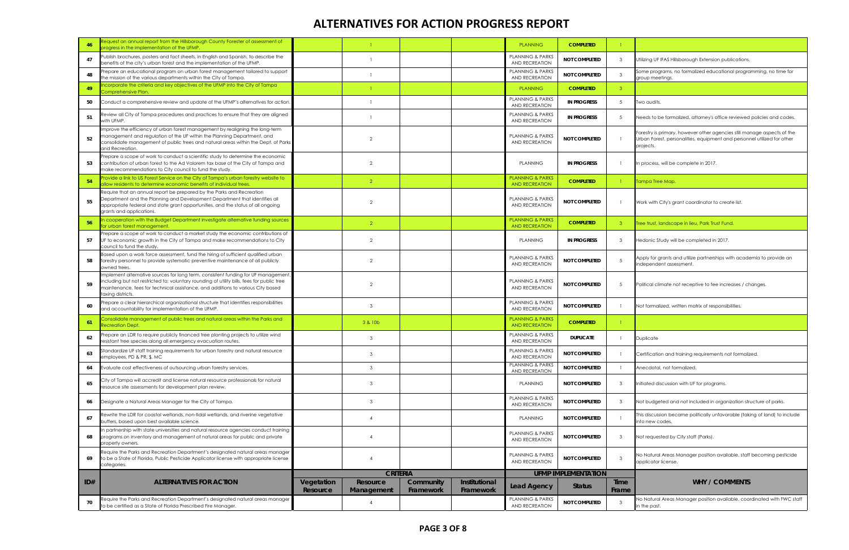| 46  | Request an annual report from the Hillsborough County Forester of assessment of<br>progress in the implementation of the UFMP.                                                                                                                                                           |                        |                        |                        |                            | <b>PLANNING</b>                                      | <b>COMPLETED</b>           |                |                                                                                                                                                                 |
|-----|------------------------------------------------------------------------------------------------------------------------------------------------------------------------------------------------------------------------------------------------------------------------------------------|------------------------|------------------------|------------------------|----------------------------|------------------------------------------------------|----------------------------|----------------|-----------------------------------------------------------------------------------------------------------------------------------------------------------------|
| 47  | Publish brochures, posters and fact sheets, in English and Spanish, to describe the<br>benefits of the city's urban forest and the implementation of the UFMP.                                                                                                                           |                        |                        |                        |                            | <b>PLANNING &amp; PARKS</b><br>AND RECREATION        | <b>NOT COMPLETED</b>       | $\mathbf{3}$   | Utilizing UF IFAS Hillsborough Extension publications.                                                                                                          |
| 48  | Prepare an educational program on urban forest management tailored to support<br>the mission of the various departments within the City of Tampa.                                                                                                                                        |                        |                        |                        |                            | <b>PLANNING &amp; PARKS</b><br>AND RECREATION        | <b>NOT COMPLETED</b>       | 3              | Some programs, no formalized educational programming, no time for<br>group meetings.                                                                            |
| 49  | ncorporate the criteria and key objectives of the UFMP into the City of Tampa<br>Comprehensive Plan.                                                                                                                                                                                     |                        |                        |                        |                            | <b>PLANNING</b>                                      | <b>COMPLETED</b>           | 3 <sup>7</sup> |                                                                                                                                                                 |
| 50  | Conduct a comprehensive review and update of the UFMP's alternatives for action.                                                                                                                                                                                                         |                        |                        |                        |                            | <b>PLANNING &amp; PARKS</b><br>AND RECREATION        | <b>IN PROGRESS</b>         | 5 <sup>5</sup> | Two audits.                                                                                                                                                     |
| 51  | Review all City of Tampa procedures and practices to ensure that they are aligned<br>with UFMP.                                                                                                                                                                                          |                        |                        |                        |                            | <b>PLANNING &amp; PARKS</b><br><b>AND RECREATION</b> | <b>IN PROGRESS</b>         | 5              | Needs to be formalized, attorney's office reviewed policies and codes.                                                                                          |
| 52  | mprove the efficiency of urban forest management by realigning the long-term<br>management and regulation of the UF within the Planning Department, and<br>consolidate management of public trees and natural areas within the Dept. of Parks<br>and Recreation.                         |                        | $\mathcal{P}$          |                        |                            | <b>PLANNING &amp; PARKS</b><br>AND RECREATION        | <b>NOT COMPLETED</b>       |                | Forestry is primary, however other agencies still manage aspects of the<br>Urban Forest, personalities, equipment and personnel utilized for other<br>projects. |
| 53  | Prepare a scope of work to conduct a scientific study to determine the economic<br>contribution of urban forest to the Ad Valorem tax base of the City of Tampa and<br>make recommendations to City council to fund the study.                                                           |                        | $\overline{2}$         |                        |                            | <b>PLANNING</b>                                      | <b>IN PROGRESS</b>         |                | In process, will be complete in 2017.                                                                                                                           |
| 54  | Provide a link to US Forest Service on the City of Tampa's urban forestry website to<br>allow residents to determine economic benefits of individual trees.                                                                                                                              |                        | $\overline{2}$         |                        |                            | <b>PLANNING &amp; PARKS</b><br><b>AND RECREATION</b> | <b>COMPLETED</b>           |                | Tampa Tree Map.                                                                                                                                                 |
| 55  | Require that an annual report be prepared by the Parks and Recreation<br>Department and the Planning and Development Department that identifies all<br>appropriate federal and state grant opportunities, and the status of all ongoing<br>grants and applications.                      |                        | $\overline{2}$         |                        |                            | <b>PLANNING &amp; PARKS</b><br>AND RECREATION        | <b>NOT COMPLETED</b>       |                | Work with City's grant coordinator to create list.                                                                                                              |
| 56  | a cooperation with the Budget Department investigate alternative funding sources<br>or urban forest management.                                                                                                                                                                          |                        | $\overline{2}$         |                        |                            | <b>PLANNING &amp; PARKS</b><br><b>AND RECREATION</b> | <b>COMPLETED</b>           | 3 <sup>°</sup> | Tree trust, landscape in lieu, Park Trust Fund.                                                                                                                 |
| 57  | Prepare a scope of work to conduct a market study the economic contributions of<br>UF to economic growth in the City of Tampa and make recommendations to City<br>council to fund the study.                                                                                             |                        | 2                      |                        |                            | <b>PLANNING</b>                                      | <b>IN PROGRESS</b>         | $\mathbf{3}$   | Hedonic Study will be completed in 2017.                                                                                                                        |
| 58  | Based upon a work force assessment, fund the hiring of sufficient qualified urban<br>forestry personnel to provide systematic preventive maintenance of all publicly<br>owned trees.                                                                                                     |                        | $\overline{2}$         |                        |                            | <b>PLANNING &amp; PARKS</b><br><b>AND RECREATION</b> | <b>NOT COMPLETED</b>       | .5             | Apply for grants and utilize partnerships with academia to provide an<br>independent assessment.                                                                |
| 59  | Implement alternative sources for long term, consistent funding for UF management,<br>including but not restricted to: voluntary rounding of utility bills, fees for public tree<br>maintenance, fees for technical assistance, and additions to various City based<br>taxing districts. |                        | $\overline{2}$         |                        |                            | <b>PLANNING &amp; PARKS</b><br>AND RECREATION        | <b>NOT COMPLETED</b>       | 5              | Political climate not receptive to fee increases / changes.                                                                                                     |
| 60  | Prepare a clear hierarchical organizational structure that identifies responsibilities<br>and accountability for implementation of the UFMP.                                                                                                                                             |                        | 3                      |                        |                            | <b>PLANNING &amp; PARKS</b><br><b>AND RECREATION</b> | <b>NOT COMPLETED</b>       |                | Not formalized, written matrix of responsibilities.                                                                                                             |
| 61  | Consolidate management of public trees and natural areas within the Parks and<br>Recreation Dept.                                                                                                                                                                                        |                        | 3 & 10b                |                        |                            | <b>PLANNING &amp; PARKS</b><br><b>AND RECREATION</b> | <b>COMPLETED</b>           | $\mathbf{1}$   |                                                                                                                                                                 |
| 62  | Prepare an LDR to require publicly financed tree planting projects to utilize wind<br>resistant tree species along all emergency evacuation routes.                                                                                                                                      |                        | -3                     |                        |                            | <b>PLANNING &amp; PARKS</b><br>AND RECREATION        | <b>DUPLICATE</b>           |                | Duplicate                                                                                                                                                       |
| 63  | Standardize UF staff training requirements for urban forestry and natural resource<br>employees. PD & PR, \$, MC                                                                                                                                                                         |                        | 3                      |                        |                            | PLANNING & PARKS<br>AND RECREATION                   | <b>NOT COMPLETED</b>       |                | Certification and training requirements not formalized.                                                                                                         |
| 64  | Evaluate cost effectiveness of outsourcing urban forestry services.                                                                                                                                                                                                                      |                        | $\mathbf{3}$           |                        |                            | <b>PLANNING &amp; PARKS</b><br>AND RECREATION        | <b>NOT COMPLETED</b>       |                | Anecdotal, not formalized.                                                                                                                                      |
| 65  | City of Tampa will accredit and license natural resource professionals for natural<br>resource site assessments for development plan review.                                                                                                                                             |                        | 3                      |                        |                            | <b>PLANNING</b>                                      | <b>NOT COMPLETED</b>       | 3              | Initiated discussion with UF for programs.                                                                                                                      |
| 66  | Designate a Natural Areas Manager for the City of Tampa.                                                                                                                                                                                                                                 |                        | 3                      |                        |                            | <b>PLANNING &amp; PARKS</b><br><b>AND RECREATION</b> | <b>NOT COMPLETED</b>       | 3              | Not budgeted and not included in organization structure of parks.                                                                                               |
| 67  | ewrite the LDR for coastal wetlands, non-tidal wetlands, and riverine vegetative<br>buffers, based upon best available science.                                                                                                                                                          |                        | $\overline{4}$         |                        |                            | <b>PLANNING</b>                                      | <b>NOT COMPLETED</b>       |                | his discussion became politically unfavorable (taking of land) to include<br>into new codes.                                                                    |
| 68  | n partnership with state universities and natural resource agencies conduct training<br>programs on inventory and management of natural areas for public and private<br>property owners.                                                                                                 |                        | $\overline{4}$         |                        |                            | PLANNING & PARKS<br>AND RECREATION                   | <b>NOT COMPLETED</b>       | $\mathbf{3}$   | Not requested by City staff (Parks).                                                                                                                            |
| 69  | Require the Parks and Recreation Department's designated natural areas manager<br>to be a State of Florida, Public Pesticide Applicator license with appropriate license<br>categories.                                                                                                  |                        | $\overline{4}$         |                        |                            | PLANNING & PARKS<br>AND RECREATION                   | <b>NOT COMPLETED</b>       | 3              | No Natural Areas Manager position available, staff becoming pesticide<br>applicator license.                                                                    |
|     |                                                                                                                                                                                                                                                                                          |                        | <b>CRITERIA</b>        |                        |                            |                                                      | <b>UFMP IMPLEMENTATION</b> |                |                                                                                                                                                                 |
| ID# | <b>ALTERNATIVES FOR ACTION</b>                                                                                                                                                                                                                                                           | Vegetation<br>Resource | Resource<br>Management | Community<br>Framework | Institutional<br>Framework | <b>Lead Agency</b>                                   | <b>Status</b>              | Time<br>Frame  | <b>WHY / COMMENTS</b>                                                                                                                                           |
| 70  | Require the Parks and Recreation Department's designated natural areas manager<br>to be certified as a State of Florida Prescribed Fire Manager.                                                                                                                                         |                        | -4                     |                        |                            | PLANNING & PARKS<br>AND RECREATION                   | NOT COMPLETED              | 3              | No Natural Areas Manager position available, coordinated with FWC staff<br>in the past.                                                                         |

|          | Utilizing UF IFAS Hillsborough Extension publications.                                                                                                          |
|----------|-----------------------------------------------------------------------------------------------------------------------------------------------------------------|
|          | Some programs, no formalized educational programming, no time for<br>group meetings.                                                                            |
|          |                                                                                                                                                                 |
|          | Two audits.                                                                                                                                                     |
|          | Needs to be formalized, attorney's office reviewed policies and codes.                                                                                          |
|          | Forestry is primary, however other agencies still manage aspects of the<br>Urban Forest, personalities, equipment and personnel utilized for other<br>projects. |
|          | In process, will be complete in 2017.                                                                                                                           |
|          | Tampa Tree Map.                                                                                                                                                 |
|          | Work with City's grant coordinator to create list.                                                                                                              |
|          | Tree trust, landscape in lieu, Park Trust Fund.                                                                                                                 |
|          | Hedonic Study will be completed in 2017.                                                                                                                        |
|          | Apply for grants and utilize partnerships with academia to provide an<br>independent assessment.                                                                |
|          | Political climate not receptive to fee increases / changes.                                                                                                     |
|          | Not formalized, written matrix of responsibilities.                                                                                                             |
|          |                                                                                                                                                                 |
|          | Duplicate                                                                                                                                                       |
|          | Certification and training requirements not formalized.                                                                                                         |
|          | Anecdotal, not formalized.                                                                                                                                      |
|          | Initiated discussion with UF for programs.                                                                                                                      |
|          | Not budgeted and not included in organization structure of parks.                                                                                               |
|          | This discussion became politically unfavorable (taking of land) to include<br>into new codes.                                                                   |
|          | Not requested by City staff (Parks).                                                                                                                            |
|          | No Natural Areas Manager position available, staff becoming pesticide<br>applicator license.                                                                    |
| ıе<br>ne | <b>WHY / COMMENTS</b>                                                                                                                                           |
|          | No Natural Areas Manager position available, coordinated with FWC staff<br>in the past.                                                                         |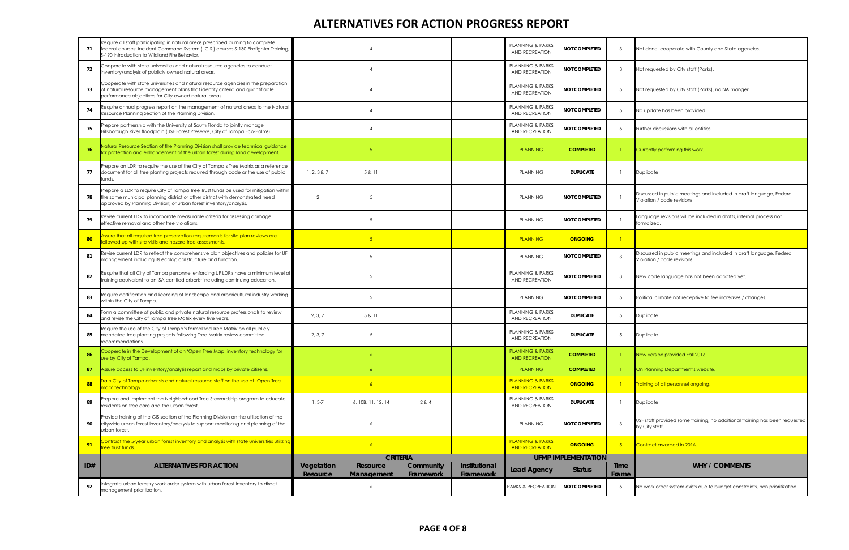| 71  | Require all staff participating in natural areas prescribed burning to complete<br>federal courses: Incident Command System (I.C.S.) courses S-130 Firefighter Training,<br>S-190 Introduction to Wildland Fire Behavior.                    |                        |                               |                        |                            | <b>PLANNING &amp; PARKS</b><br><b>AND RECREATION</b> | <b>NOT COMPLETED</b>       | $\mathbf{3}$  | Not done, cooperate with County and State agencies.                                                 |
|-----|----------------------------------------------------------------------------------------------------------------------------------------------------------------------------------------------------------------------------------------------|------------------------|-------------------------------|------------------------|----------------------------|------------------------------------------------------|----------------------------|---------------|-----------------------------------------------------------------------------------------------------|
| 72  | Cooperate with state universities and natural resource agencies to conduct<br>inventory/analysis of publicly owned natural areas.                                                                                                            |                        | $\overline{4}$                |                        |                            | <b>PLANNING &amp; PARKS</b><br>AND RECREATION        | <b>NOT COMPLETED</b>       | - 3           | Not requested by City staff (Parks).                                                                |
| 73  | Cooperate with state universities and natural resource agencies in the preparation<br>of natural resource management plans that identify criteria and quantifiable<br>berformance objectives for City-owned natural areas.                   |                        | $\overline{4}$                |                        |                            | <b>PLANNING &amp; PARKS</b><br><b>AND RECREATION</b> | <b>NOT COMPLETED</b>       | -5            | Not requested by City staff (Parks), no NA manger.                                                  |
| 74  | Require annual progress report on the management of natural areas to the Natural<br>Resource Planning Section of the Planning Division.                                                                                                      |                        | $\overline{4}$                |                        |                            | <b>PLANNING &amp; PARKS</b><br><b>AND RECREATION</b> | <b>NOT COMPLETED</b>       | -5            | No update has been provided                                                                         |
| 75  | Prepare partnership with the University of South Florida to jointly manage<br>Hillsborough River floodplain (USF Forest Preserve, City of Tampa Eco-Palms).                                                                                  |                        | $\overline{4}$                |                        |                            | <b>PLANNING &amp; PARKS</b><br>AND RECREATION        | <b>NOT COMPLETED</b>       | -5            | Further discussions with all entities                                                               |
| 76  | Natural Resource Section of the Planning Division shall provide technical guidance<br>for protection and enhancement of the urban forest during land development.                                                                            |                        | 5                             |                        |                            | <b>PLANNING</b>                                      | <b>COMPLETED</b>           |               | Currently performing this work.                                                                     |
| 77  | Prepare an LDR to require the use of the City of Tampa's Tree Matrix as a reference<br>document for all tree planting projects required through code or the use of public<br>unds.                                                           | 1, 2, 3 & 87           | 5 & 11                        |                        |                            | <b>PLANNING</b>                                      | <b>DUPLICATE</b>           |               | Duplicate                                                                                           |
|     | Prepare a LDR to require City of Tampa Tree Trust funds be used for mitigation within<br>the same municipal planning district or other district with demonstrated need<br>approved by Planning Division; or urban forest inventory/analysis. | 2                      | $\overline{5}$                |                        |                            | <b>PLANNING</b>                                      | <b>NOT COMPLETED</b>       |               | Discussed in public meetings and included in draft language, Federal<br>Violation / code revisions. |
| 79  | Revise current LDR to incorporate measurable criteria for assessing damage,<br>effective removal and other tree violations.                                                                                                                  |                        | 5                             |                        |                            | <b>PLANNING</b>                                      | <b>NOT COMPLETED</b>       |               | Language revisions will be included in drafts, internal process not<br>formalized.                  |
| 80  | Assure that all required tree preservation requirements for site plan reviews are<br>ollowed up with site visits and hazard tree assessments.                                                                                                |                        | 5 <sup>1</sup>                |                        |                            | <b>PLANNING</b>                                      | <b>ONGOING</b>             |               |                                                                                                     |
| 81  | Revise current LDR to reflect the comprehensive plan objectives and policies for UF<br>management including its ecological structure and function.                                                                                           |                        | 5                             |                        |                            | <b>PLANNING</b>                                      | <b>NOT COMPLETED</b>       | -3            | Discussed in public meetings and included in draft language, Federal<br>Violation / code revisions. |
| 82  | Require that all City of Tampa personnel enforcing UF LDR's have a minimum level of<br>training equivalent to an ISA certified arborist including continuing education.                                                                      |                        | .5                            |                        |                            | <b>PLANNING &amp; PARKS</b><br>AND RECREATION        | <b>NOT COMPLETED</b>       | $\cdot$ 3     | New code language has not been adopted yet.                                                         |
| 83  | Require certification and licensing of landscape and arboricultural industry working<br>within the City of Tampa.                                                                                                                            |                        | 5                             |                        |                            | <b>PLANNING</b>                                      | <b>NOT COMPLETED</b>       | -5            | Political climate not receptive to fee increases / changes.                                         |
| 84  | Form a committee of public and private natural resource professionals to review<br>and revise the City of Tampa Tree Matrix every five years.                                                                                                | 2, 3, 7                | 5 & 11                        |                        |                            | PLANNING & PARKS<br>AND RECREATION                   | <b>DUPLICATE</b>           | -5            | Duplicate                                                                                           |
| 85  | Require the use of the City of Tampa's formalized Tree Matrix on all publicly<br>mandated tree planting projects following Tree Matrix review committee<br>recommendations.                                                                  | 2, 3, 7                | 5                             |                        |                            | <b>PLANNING &amp; PARKS</b><br><b>AND RECREATION</b> | <b>DUPLICATE</b>           | 5             | Duplicate                                                                                           |
| 86  | Cooperate in the Development of an 'Open Tree Map' inventory technology for<br>Jse by City of Tampa.                                                                                                                                         |                        | 6                             |                        |                            | <b>PLANNING &amp; PARKS</b><br><b>AND RECREATION</b> | <b>COMPLETED</b>           |               | New version provided Fall 2016.                                                                     |
| 87  | Assure access to UF inventory/analysis report and maps by private citizens.                                                                                                                                                                  |                        | 6                             |                        |                            | <b>PLANNING</b>                                      | <b>COMPLETED</b>           |               | On Planning Department's website.                                                                   |
| 88  | Train City of Tampa arborists and natural resource staff on the use of 'Open Tree<br>nap' technology.                                                                                                                                        |                        | 6 <sup>1</sup>                |                        |                            | <b>PLANNING &amp; PARKS</b><br><b>AND RECREATION</b> | <b>ONGOING</b>             |               | Training of all personnel ongoing.                                                                  |
| 89  | Prepare and implement the Neighborhood Tree Stewardship program to educate<br>residents on tree care and the urban forest.                                                                                                                   | $1, 3-7$               | 6, 10B, 11, 12, 14            | 2 & 4                  |                            | <b>PLANNING &amp; PARKS</b><br>AND RECREATION        | <b>DUPLICATE</b>           |               | Duplicate                                                                                           |
| 90  | Provide training of the GIS section of the Planning Division on the utilization of the<br>citywide urban forest inventory/analysis to support monitoring and planning of the<br>urban forest.                                                |                        | 6                             |                        |                            | <b>PLANNING</b>                                      | <b>NOT COMPLETED</b>       | $\mathcal{R}$ | USF staff provided some training, no additional training has been requested<br>by City staff.       |
| 91  | Contract the 5-year urban forest inventory and analysis with state universities utilizing<br><b>ree trust funds.</b>                                                                                                                         |                        | 6 <sup>1</sup>                |                        |                            | <b>PLANNING &amp; PARKS</b><br><b>AND RECREATION</b> | <b>ONGOING</b>             | $-5$          | Contract awarded in 2016.                                                                           |
|     |                                                                                                                                                                                                                                              |                        | <b>CRITERIA</b>               |                        |                            |                                                      | <b>UFMP IMPLEMENTATION</b> |               |                                                                                                     |
| ID# | <b>ALTERNATIVES FOR ACTION</b>                                                                                                                                                                                                               | Vegetation<br>Resource | <b>Resource</b><br>Management | Community<br>Framework | Institutional<br>Framework | <b>Lead Agency</b>                                   | <b>Status</b>              | Time<br>Frame | <b>WHY / COMMENTS</b>                                                                               |
| 92  | ntegrate urban forestry work order system with urban forest inventory to direct<br>management prioritization.                                                                                                                                |                        | 6                             |                        |                            | PARKS & RECREATION                                   | <b>NOT COMPLETED</b>       | - 5           | No work order system exists due to budget constraints, non prioritization.                          |

|         | Not done, cooperate with County and State agencies.                                                 |
|---------|-----------------------------------------------------------------------------------------------------|
|         | Not requested by City staff (Parks).                                                                |
|         | Not requested by City staff (Parks), no NA manger.                                                  |
|         | No update has been provided.                                                                        |
|         | Further discussions with all entities.                                                              |
|         | Currently performing this work.                                                                     |
|         | Duplicate                                                                                           |
|         | Discussed in public meetings and included in draft language, Federal<br>Violation / code revisions. |
|         | Language revisions will be included in drafts, internal process not<br>formalized.                  |
|         |                                                                                                     |
|         | Discussed in public meetings and included in draft language, Federal<br>Violation / code revisions. |
|         | New code language has not been adopted yet.                                                         |
|         | Political climate not receptive to fee increases / changes.                                         |
|         | Duplicate                                                                                           |
|         | Duplicate                                                                                           |
|         | New version provided Fall 2016.                                                                     |
|         | On Planning Department's website.                                                                   |
|         | Training of all personnel ongoing.                                                                  |
|         | Duplicate                                                                                           |
|         | USF staff provided some training, no additional training has been requested<br>by City staff.       |
|         | Contract awarded in 2016.                                                                           |
| e<br>ne | <b>WHY / COMMENTS</b>                                                                               |
|         | No work order system exists due to budget constraints, non prioritization.                          |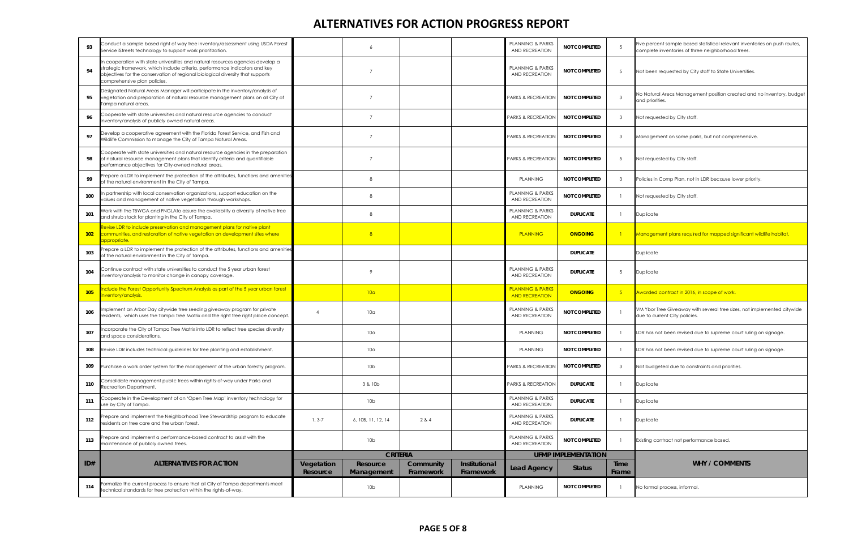| 93               | Conduct a sample based right of way tree inventory/assessment using USDA Forest<br>Service iStreets technology to support work prioritization.                                                                                                                                   |                        |                        |                        |                            | <b>PLANNING &amp; PARKS</b><br>AND RECREATION        | <b>NOT COMPLETED</b>       | 5                    | Five percent sample based statistical relevant inventories on push routes,<br>complete inventories of three neighborhood trees. |
|------------------|----------------------------------------------------------------------------------------------------------------------------------------------------------------------------------------------------------------------------------------------------------------------------------|------------------------|------------------------|------------------------|----------------------------|------------------------------------------------------|----------------------------|----------------------|---------------------------------------------------------------------------------------------------------------------------------|
| 94               | In cooperation with state universities and natural resources agencies develop a<br>strategic framework, which include criteria, performance indicators and key<br>objectives for the conservation of regional biological diversity that supports<br>comprehensive plan policies. |                        |                        |                        |                            | <b>PLANNING &amp; PARKS</b><br><b>AND RECREATION</b> | <b>NOT COMPLETED</b>       | -5                   | Not been requested by City staff to State Universities.                                                                         |
| 95               | Designated Natural Areas Manager will participate in the inventory/analysis of<br>vegetation and preparation of natural resource management plans on all City of<br>ampa natural areas.                                                                                          |                        | $\overline{7}$         |                        |                            | PARKS & RECREATION                                   | <b>NOT COMPLETED</b>       | 3                    | No Natural Areas Management position created and no inventory, budget<br>and priorities.                                        |
| 96               | Cooperate with state universities and natural resource agencies to conduct<br>inventory/analysis of publicly owned natural areas.                                                                                                                                                |                        | $\overline{7}$         |                        |                            | <b>PARKS &amp; RECREATION</b>                        | <b>NOT COMPLETED</b>       | -3                   | Not requested by City staff.                                                                                                    |
| 97               | Develop a cooperative agreement with the Florida Forest Service, and Fish and<br>Wildlife Commission to manage the City of Tampa Natural Areas.                                                                                                                                  |                        | $\overline{7}$         |                        |                            | PARKS & RECREATION                                   | <b>NOT COMPLETED</b>       | 3                    | Management on some parks, but not comprehensive.                                                                                |
| 98               | Cooperate with state universities and natural resource agencies in the preparation<br>of natural resource management plans that identify criteria and quantifiable<br>performance objectives for City-owned natural areas.                                                       |                        | $\overline{7}$         |                        |                            | <b>PARKS &amp; RECREATION</b>                        | <b>NOT COMPLETED</b>       | -5                   | Not requested by City staff.                                                                                                    |
| 99               | Prepare a LDR to implement the protection of the attributes, functions and amenities<br>of the natural environment in the City of Tampa.                                                                                                                                         |                        | -8                     |                        |                            | <b>PLANNING</b>                                      | <b>NOT COMPLETED</b>       | 3                    | Policies in Comp Plan, not in LDR because lower priority.                                                                       |
| 100              | n partnership with local conservation organizations, support education on the<br>values and management of native vegetation through workshops.                                                                                                                                   |                        | 8                      |                        |                            | <b>PLANNING &amp; PARKS</b><br>AND RECREATION        | <b>NOT COMPLETED</b>       |                      | Not requested by City staff.                                                                                                    |
| 101              | Work with the TBWGA and FNGLAto assure the availability a diversity of native tree<br>and shrub stock for planting in the City of Tampa.                                                                                                                                         |                        | 8                      |                        |                            | <b>PLANNING &amp; PARKS</b><br>AND RECREATION        | <b>DUPLICATE</b>           |                      | Duplicate                                                                                                                       |
| 102 <sub>2</sub> | Revise LDR to include preservation and management plans for native plant<br>communities, and restoration of native vegetation on development sites where<br>appropriate.                                                                                                         |                        | 8                      |                        |                            | <b>PLANNING</b>                                      | <b>ONGOING</b>             |                      | Management plans required for mapped significant wildlife habitat.                                                              |
| 103              | Prepare a LDR to implement the protection of the attributes, functions and amenities<br>of the natural environment in the City of Tampa.                                                                                                                                         |                        |                        |                        |                            |                                                      | <b>DUPLICATE</b>           |                      | Duplicate                                                                                                                       |
| 104              | Continue contract with state universities to conduct the 5 year urban forest<br>inventory/analysis to monitor change in canopy coverage.                                                                                                                                         |                        | $\circ$                |                        |                            | <b>PLANNING &amp; PARKS</b><br>AND RECREATION        | <b>DUPLICATE</b>           | -5                   | Duplicate                                                                                                                       |
| 105              | nclude the Forest Opportunity Spectrum Analysis as part of the 5 year urban forest<br>inventory/analysis.                                                                                                                                                                        |                        | 10a                    |                        |                            | <b>PLANNING &amp; PARKS</b><br><b>AND RECREATION</b> | <b>ONGOING</b>             | 5 <sub>1</sub>       | Awarded contract in 2016, in scope of work.                                                                                     |
| 106              | Implement an Arbor Day citywide tree seeding giveaway program for private<br>residents, which uses the Tampa Tree Matrix and the right tree right place concept.                                                                                                                 | $\overline{4}$         | 10 <sub>a</sub>        |                        |                            | <b>PLANNING &amp; PARKS</b><br>AND RECREATION        | NOT COMPLETED              |                      | VM Ybor Tree Giveaway with several tree sizes, not implemented citywide<br>due to current City policies.                        |
| 107              | ncorporate the City of Tampa Tree Matrix into LDR to reflect tree species diversity<br>and space considerations.                                                                                                                                                                 |                        | 10 <sub>a</sub>        |                        |                            | <b>PLANNING</b>                                      | <b>NOT COMPLETED</b>       |                      | LDR has not been revised due to supreme court ruling on signage.                                                                |
| 108              | Revise LDR includes technical guidelines for tree planting and establishment.                                                                                                                                                                                                    |                        | 10 <sub>a</sub>        |                        |                            | PLANNING                                             | NOT COMPLETED              |                      | LDR has not been revised due to supreme court ruling on signage.                                                                |
| 109              | Purchase a work order system for the management of the urban forestry program.                                                                                                                                                                                                   |                        | 10 <sub>b</sub>        |                        |                            | PARKS & RECREATION                                   | <b>NOT COMPLETED</b>       | -3                   | Not budgeted due to constraints and priorities.                                                                                 |
| 110              | Consolidate management public trees within rights-of-way under Parks and<br>Recreation Department.                                                                                                                                                                               |                        | 3 & 10b                |                        |                            | PARKS & RECREATION                                   | <b>DUPLICATE</b>           |                      | Duplicate                                                                                                                       |
| 111              | Cooperate in the Development of an 'Open Tree Map' inventory technology for<br>use by City of Tampa.                                                                                                                                                                             |                        | 10 <sub>b</sub>        |                        |                            | PLANNING & PARKS<br>AND RECREATION                   | <b>DUPLICATE</b>           |                      | Duplicate                                                                                                                       |
| 112              | Prepare and implement the Neighborhood Tree Stewardship program to educate<br>residents on tree care and the urban forest.                                                                                                                                                       | $1, 3-7$               | 6, 10B, 11, 12, 14     | 2 & 4                  |                            | <b>PLANNING &amp; PARKS</b><br>AND RECREATION        | <b>DUPLICATE</b>           |                      | Duplicate                                                                                                                       |
| 113              | Prepare and implement a performance-based contract to assist with the<br>maintenance of publicly owned trees.                                                                                                                                                                    |                        | 10 <sub>b</sub>        |                        |                            | PLANNING & PARKS<br><b>AND RECREATION</b>            | NOT COMPLETED              |                      | Existing contract not performance based.                                                                                        |
|                  |                                                                                                                                                                                                                                                                                  | <b>CRITERIA</b>        |                        |                        |                            |                                                      | <b>UFMP IMPLEMENTATION</b> |                      |                                                                                                                                 |
| ID#              | <b>ALTERNATIVES FOR ACTION</b>                                                                                                                                                                                                                                                   | Vegetation<br>Resource | Resource<br>Management | Community<br>Framework | Institutional<br>Framework | <b>Lead Agency</b>                                   | <b>Status</b>              | <b>Time</b><br>Frame | <b>WHY / COMMENTS</b>                                                                                                           |
| 114              | formalize the current process to ensure that all City of Tampa departments meet<br>technical standards for tree protection within the rights-of-way.                                                                                                                             |                        | 10 <sub>b</sub>        |                        |                            | <b>PLANNING</b>                                      | NOT COMPLETED              |                      | No formal process, informal.                                                                                                    |

|         | Five percent sample based statistical relevant inventories on push routes,<br>complete inventories of three neighborhood trees. |
|---------|---------------------------------------------------------------------------------------------------------------------------------|
|         | Not been requested by City staff to State Universities.                                                                         |
|         | No Natural Areas Management position created and no inventory, budget<br>and priorities.                                        |
|         | Not requested by City staff.                                                                                                    |
|         | Management on some parks, but not comprehensive.                                                                                |
|         | Not requested by City staff.                                                                                                    |
|         | Policies in Comp Plan, not in LDR because lower priority.                                                                       |
|         | Not requested by City staff.                                                                                                    |
|         | Duplicate                                                                                                                       |
|         | Management plans required for mapped significant wildlife habitat.                                                              |
|         | Duplicate                                                                                                                       |
|         | Duplicate                                                                                                                       |
|         | Awarded contract in 2016, in scope of work.                                                                                     |
|         | VM Ybor Tree Giveaway with several tree sizes, not implemented citywide<br>due to current City policies.                        |
|         | LDR has not been revised due to supreme court ruling on signage.                                                                |
|         | LDR has not been revised due to supreme court ruling on signage.                                                                |
|         | Not budgeted due to constraints and priorities.                                                                                 |
|         | Duplicate                                                                                                                       |
|         | Duplicate                                                                                                                       |
|         | Duplicate                                                                                                                       |
|         | Existing contract not performance based.                                                                                        |
| e<br>ne | <b>WHY / COMMENTS</b>                                                                                                           |
|         | No formal process, informal.                                                                                                    |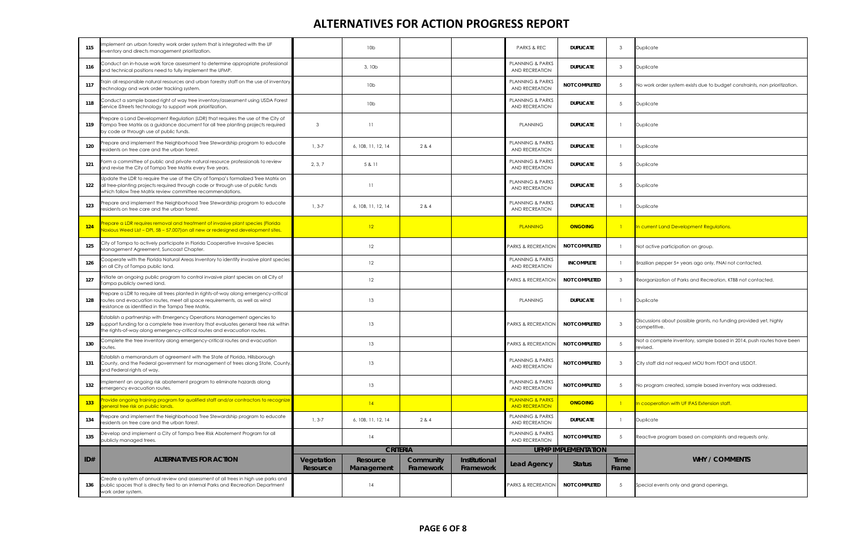| 115 | mplement an urban forestry work order system that is integrated with the UF<br>inventory and directs management prioritization.                                                                                                               |                        | 10 <sub>b</sub>        |                        |                            | <b>PARKS &amp; REC</b>                               | <b>DUPLICATE</b>           | $\mathbf{3}$    | Duplicate                                                                          |
|-----|-----------------------------------------------------------------------------------------------------------------------------------------------------------------------------------------------------------------------------------------------|------------------------|------------------------|------------------------|----------------------------|------------------------------------------------------|----------------------------|-----------------|------------------------------------------------------------------------------------|
| 116 | Conduct an in-house work force assessment to determine appropriate professional<br>and technical positions need to fully implement the UFMP.                                                                                                  |                        | 3,10 <sub>b</sub>      |                        |                            | PLANNING & PARKS<br><b>AND RECREATION</b>            | <b>DUPLICATE</b>           | $\mathbf{3}$    | Duplicate                                                                          |
| 117 | rain all responsible natural resources and urban forestry staff on the use of inventory<br>technology and work order tracking system.                                                                                                         |                        | 10 <sub>b</sub>        |                        |                            | <b>PLANNING &amp; PARKS</b><br>AND RECREATION        | <b>NOT COMPLETED</b>       | 5               | No work order system exists due to budget constraints, non prioritization.         |
| 118 | Conduct a sample based right of way tree inventory/assessment using USDA Forest<br>Service iStreets technology to support work prioritization.                                                                                                |                        | 10 <sub>b</sub>        |                        |                            | <b>PLANNING &amp; PARKS</b><br>AND RECREATION        | <b>DUPLICATE</b>           | 5               | Duplicate                                                                          |
| 119 | Prepare a Land Development Regulation (LDR) that requires the use of the City of<br>Tampa Tree Matrix as a guidance document for all tree planting projects required<br>by code or through use of public funds.                               | -3                     | 11                     |                        |                            | <b>PLANNING</b>                                      | <b>DUPLICATE</b>           | -1              | Duplicate                                                                          |
| 120 | Prepare and implement the Neighborhood Tree Stewardship program to educate<br>residents on tree care and the urban forest.                                                                                                                    | $1, 3-7$               | 6, 10B, 11, 12, 14     | 2 & 4                  |                            | PLANNING & PARKS<br><b>AND RECREATION</b>            | <b>DUPLICATE</b>           | $\overline{1}$  | Duplicate                                                                          |
| 121 | Form a committee of public and private natural resource professionals to review<br>and revise the City of Tampa Tree Matrix every five years.                                                                                                 | 2, 3, 7                | 5 & 11                 |                        |                            | <b>PLANNING &amp; PARKS</b><br>AND RECREATION        | <b>DUPLICATE</b>           | $\overline{5}$  | Duplicate                                                                          |
| 122 | Jpdate the LDR to require the use of the City of Tampa's formalized Tree Matrix on<br>all tree-planting projects required through code or through use of public funds<br>which follow Tree Matrix review committee recommendations.           |                        | 11                     |                        |                            | <b>PLANNING &amp; PARKS</b><br>AND RECREATION        | <b>DUPLICATE</b>           | $5\overline{)}$ | Duplicate                                                                          |
| 123 | Prepare and implement the Neighborhood Tree Stewardship program to educate<br>residents on tree care and the urban forest.                                                                                                                    | $1, 3-7$               | 6, 10B, 11, 12, 14     | 2 & 4                  |                            | <b>PLANNING &amp; PARKS</b><br>AND RECREATION        | <b>DUPLICATE</b>           | $\mathbf{1}$    | Duplicate                                                                          |
| 124 | Prepare a LDR requires removal and treatment of invasive plant species (Florida<br>Noxious Weed List – DPI, 5B – 57.007) on all new or redesigned development sites.                                                                          |                        | 12                     |                        |                            | <b>PLANNING</b>                                      | <b>ONGOING</b>             | $\Box$          | In current Land Development Regulations.                                           |
| 125 | City of Tampa to actively participate in Florida Cooperative Invasive Species<br>Management Agreement, Suncoast Chapter.                                                                                                                      |                        | 12                     |                        |                            | PARKS & RECREATION                                   | <b>NOT COMPLETED</b>       | $\mathbf{1}$    | Not active participation on group.                                                 |
| 126 | Cooperate with the Florida Natural Areas Inventory to identify invasive plant species<br>on all City of Tampa public land.                                                                                                                    |                        | 12                     |                        |                            | PLANNING & PARKS<br><b>AND RECREATION</b>            | <b>INCOMPLETE</b>          |                 | Brazilian pepper 5+ years ago only, FNAI not contacted.                            |
| 127 | nitiate an ongoing public program to control invasive plant species on all City of<br>Tampa publicly owned land.                                                                                                                              |                        | 12                     |                        |                            | PARKS & RECREATION                                   | <b>NOT COMPLETED</b>       | $\mathbf{3}$    | Reorganization of Parks and Recreation, KTBB not contacted.                        |
| 128 | Prepare a LDR to require all trees planted in rights-of-way along emergency-critical<br>routes and evacuation routes, meet all space requirements, as well as wind<br>resistance as identified in the Tampa Tree Matrix.                      |                        | 13                     |                        |                            | <b>PLANNING</b>                                      | <b>DUPLICATE</b>           | $\overline{1}$  | Duplicate                                                                          |
| 129 | Establish a partnership with Emergency Operations Management agencies to<br>support funding for a complete tree inventory that evaluates general tree risk within<br>the rights-of-way along emergency-critical routes and evacuation routes. |                        | 13                     |                        |                            | PARKS & RECREATION                                   | <b>NOT COMPLETED</b>       | $\mathbf{3}$    | Discussions about possible grants, no funding provided yet, highly<br>competitive. |
| 130 | Complete the tree inventory along emergency-critical routes and evacuation<br>routes.                                                                                                                                                         |                        | 13                     |                        |                            | PARKS & RECREATION                                   | <b>NOT COMPLETED</b>       | $\overline{5}$  | Not a complete inventory, sample based in 2014, push routes have been<br>revised.  |
| 131 | Establish a memorandum of agreement with the State of Florida, Hillsborough<br>County, and the Federal government for management of trees along State, County,<br>and Federal rights of way.                                                  |                        | 13                     |                        |                            | <b>PLANNING &amp; PARKS</b><br>AND RECREATION        | <b>NOT COMPLETED</b>       | $\mathbf{3}$    | City staff did not request MOU from FDOT and USDOT.                                |
| 132 | Implement an ongoing risk abatement program to eliminate hazards along<br>emergency evacuation routes.                                                                                                                                        |                        | 13                     |                        |                            | PLANNING & PARKS<br>AND RECREATION                   | <b>NOT COMPLETED</b>       | $\overline{5}$  | No program created, sample based inventory was addressed.                          |
| 133 | Provide ongoing training program for qualified staff and/or contractors to recognize<br>general tree risk on public lands.                                                                                                                    |                        | 4                      |                        |                            | <b>PLANNING &amp; PARKS</b><br><b>AND RECREATION</b> | <b>ONGOING</b>             | $\blacksquare$  | In cooperation with UF IFAS Extension staff.                                       |
| 134 | Prepare and implement the Neighborhood Tree Stewardship program to educate<br>esidents on tree care and the urban forest.                                                                                                                     | $1, 3-7$               | 6.10B.11.12.14         | 2 & 4                  |                            | <b>PLANNING &amp; PARKS</b><br><b>AND RECREATION</b> | <b>DUPLICATE</b>           | $\mathbf{1}$    | Duplicate                                                                          |
| 135 | Develop and implement a City of Tampa Tree Risk Abatement Program for all<br>publicly managed trees.                                                                                                                                          |                        | 14                     |                        |                            | <b>PLANNING &amp; PARKS</b><br>AND RECREATION        | <b>NOT COMPLETED</b>       | 5               | Reactive program based on complaints and requests only.                            |
|     |                                                                                                                                                                                                                                               |                        | <b>CRITERIA</b>        |                        |                            |                                                      | <b>UFMP IMPLEMENTATION</b> |                 |                                                                                    |
| ID# | <b>ALTERNATIVES FOR ACTION</b>                                                                                                                                                                                                                | Vegetation<br>Resource | Resource<br>Management | Community<br>Framework | Institutional<br>Framework | <b>Lead Agency</b>                                   | <b>Status</b>              | Time<br>Frame   | <b>WHY / COMMENTS</b>                                                              |
| 136 | Create a system of annual review and assessment of all trees in high use parks and<br>public spaces that is directly tied to an internal Parks and Recreation Department<br>work order system.                                                |                        | 14                     |                        |                            | <b>PARKS &amp; RECREATION</b>                        | <b>NOT COMPLETED</b>       | -5              | Special events only and grand openings.                                            |

|         | Duplicate                                                                          |
|---------|------------------------------------------------------------------------------------|
|         | Duplicate                                                                          |
|         | No work order system exists due to budget constraints, non prioritization.         |
|         | Duplicate                                                                          |
|         | Duplicate                                                                          |
|         | Duplicate                                                                          |
|         | Duplicate                                                                          |
|         | Duplicate                                                                          |
|         | Duplicate                                                                          |
|         | In current Land Development Regulations.                                           |
|         | Not active participation on group.                                                 |
|         | Brazilian pepper 5+ years ago only, FNAI not contacted.                            |
|         | Reorganization of Parks and Recreation, KTBB not contacted.                        |
|         | Duplicate                                                                          |
|         | Discussions about possible grants, no funding provided yet, highly<br>competitive. |
|         | Not a complete inventory, sample based in 2014, push routes have been<br>evised.   |
|         | City staff did not request MOU from FDOT and USDOT.                                |
|         | No program created, sample based inventory was addressed.                          |
|         | In cooperation with UF IFAS Extension staff.                                       |
|         | Duplicate                                                                          |
|         | Reactive program based on complaints and requests only.                            |
| e<br>٦e | <b>WHY / COMMENTS</b>                                                              |
|         | Special events only and grand openings.                                            |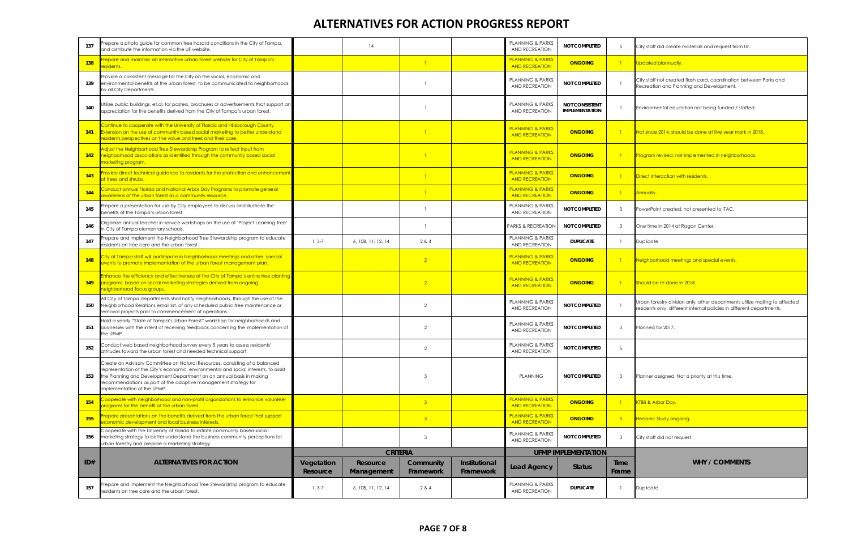| 137 | repare a photo guide for common tree hazard conditions in the City of Tampa,<br>and distribute the information via the UF website.                                                                                                                                                                                                            |                        | 14                     |                        |                            | <b>PLANNING &amp; PARKS</b><br>AND RECREATION        | NOT COMPLETED                                  | -5             | City staff did create materials and request from UF.                                                                                            |
|-----|-----------------------------------------------------------------------------------------------------------------------------------------------------------------------------------------------------------------------------------------------------------------------------------------------------------------------------------------------|------------------------|------------------------|------------------------|----------------------------|------------------------------------------------------|------------------------------------------------|----------------|-------------------------------------------------------------------------------------------------------------------------------------------------|
| 138 | repare and maintain an interactive urban forest website for City of Tampa's<br>esidents.                                                                                                                                                                                                                                                      |                        |                        | $\Box$                 |                            | <b>PLANNING &amp; PARKS</b><br><b>AND RECREATION</b> | <b>ONGOING</b>                                 | $\overline{1}$ | Updated biannually.                                                                                                                             |
| 139 | Provide a consistent message for the City on the social, economic and<br>environmental benefits of the urban forest, to be communicated to neighborhoods<br>by all City Departments.                                                                                                                                                          |                        |                        |                        |                            | <b>PLANNING &amp; PARKS</b><br>AND RECREATION        | NOT COMPLETED                                  |                | City staff not created flash card, coordination between Parks and<br>Recreation and Planning and Development.                                   |
| 140 | Utilize public buildings, et.al. for posters, brochures or advertisements that support an<br>appreciation for the benefits derived from the City of Tampa's urban forest.                                                                                                                                                                     |                        |                        |                        |                            | <b>PLANNING &amp; PARKS</b><br>AND RECREATION        | <b>NOT CONSISTENT</b><br><b>IMPLEMENTATION</b> |                | Environmental education not being funded / staffed.                                                                                             |
| 141 | Continue to cooperate with the University of Florida and Hillsborough County<br><b>Extension on the use of community based social marketing to better understand</b><br>residents perspectives on the value and trees and their care.                                                                                                         |                        |                        |                        |                            | <b>PLANNING &amp; PARKS</b><br><b>AND RECREATION</b> | <b>ONGOING</b>                                 | $\blacksquare$ | Not since 2014, should be done at five year mark in 2018.                                                                                       |
| 142 | Adjust the Neighborhood Tree Stewardship Program to reflect input from<br>neighborhood associations as identified through the community based social<br><mark>narketing program.</mark>                                                                                                                                                       |                        |                        |                        |                            | <b>PLANNING &amp; PARKS</b><br><b>AND RECREATION</b> | <b>ONGOING</b>                                 |                | Program revised, not implemented in neighborhoods.                                                                                              |
| 143 | rovide direct technical guidance to residents for the protection and enhancemen<br>of trees and shrubs.                                                                                                                                                                                                                                       |                        |                        |                        |                            | <b>PLANNING &amp; PARKS</b><br><b>AND RECREATION</b> | <b>ONGOING</b>                                 | $\blacksquare$ | Direct interaction with residents.                                                                                                              |
| 144 | Conduct annual Florida and National Arbor Day Programs to promote general<br>awareness of the urban forest as a community resource.                                                                                                                                                                                                           |                        |                        |                        |                            | <b>PLANNING &amp; PARKS</b><br><b>AND RECREATION</b> | <b>ONGOING</b>                                 | $\blacksquare$ | Annually.                                                                                                                                       |
| 145 | repare a presentation for use by City employees to discuss and illustrate the<br>benefits of the Tampa's urban forest.                                                                                                                                                                                                                        |                        |                        |                        |                            | <b>PLANNING &amp; PARKS</b><br>AND RECREATION        | <b>NOT COMPLETED</b>                           | $\mathbf{3}$   | PowerPoint created, not presented to ITAC.                                                                                                      |
| 146 | Organize annual teacher in-service workshops on the use of 'Project Learning Tree'<br>n City of Tampa elementary schools.                                                                                                                                                                                                                     |                        |                        |                        |                            | PARKS & RECREATION                                   | <b>NOT COMPLETED</b>                           | $\mathbf{3}$   | One time in 2014 at Ragan Center.                                                                                                               |
| 147 | repare and implement the Neighborhood Tree Stewardship program to educate<br>residents on tree care and the urban forest.                                                                                                                                                                                                                     | $1, 3-7$               | 6, 10B, 11, 12, 14     | 2 & 4                  |                            | <b>PLANNING &amp; PARKS</b><br>AND RECREATION        | <b>DUPLICATE</b>                               |                | Duplicate                                                                                                                                       |
| 148 | City of Tampa staff will participate in Neighborhood meetings and other special<br>events to promote implementation of the urban forest management plan.                                                                                                                                                                                      |                        |                        | $\overline{2}$         |                            | <b>PLANNING &amp; PARKS</b><br><b>AND RECREATION</b> | <b>ONGOING</b>                                 | $\overline{1}$ | Neighborhood meetings and special events.                                                                                                       |
| 149 | Enhance the efficiency and effectiveness of the City of Tampa's entire tree planting<br>programs, based on social marketing strategies derived from ongoing<br>neighborhood focus groups.                                                                                                                                                     |                        |                        | $\overline{2}$         |                            | <b>PLANNING &amp; PARKS</b><br><b>AND RECREATION</b> | <b>ONGOING</b>                                 | $\blacksquare$ | Should be re-done in 2018.                                                                                                                      |
| 150 | All City of Tampa departments shall notify neighborhoods, through the use of the<br>Neighborhood Relations email list, of any scheduled public tree maintenance or<br>removal projects prior to commencement of operations.                                                                                                                   |                        |                        | $\overline{2}$         |                            | <b>PLANNING &amp; PARKS</b><br>AND RECREATION        | NOT COMPLETED                                  |                | Urban forestry division only, other departments utilize mailing to aff<br>residents only, different internal policies in different departments. |
| 151 | Hold a yearly "State of Tampa's Urban Forest" workshop for neighborhoods and<br>businesses with the intent of receiving feedback concerning the implementation of<br>he UFMP.                                                                                                                                                                 |                        |                        | $\overline{2}$         |                            | <b>PLANNING &amp; PARKS</b><br>AND RECREATION        | NOT COMPLETED                                  | $\mathbf{3}$   | Planned for 2017.                                                                                                                               |
| 152 | Conduct web based neighborhood survey every 5 years to assess residents'<br>attitudes toward the urban forest and needed technical support.                                                                                                                                                                                                   |                        |                        | 2                      |                            | PLANNING & PARKS<br>AND RECREATION                   | NOT COMPLETED                                  | .5             |                                                                                                                                                 |
| 153 | Create an Advisory Committee on Natural Resources, consisting of a balanced<br>representation of the City's economic, environmental and social interests, to assist<br>the Planning and Development Department on an annual basis in making<br>recommendations as part of the adaptive management strategy for<br>implementation of the UFMP. |                        |                        | 3                      |                            | <b>PLANNING</b>                                      | <b>NOT COMPLETED</b>                           | -3             | Planner assigned. Not a priority at this time.                                                                                                  |
| 154 | Cooperate with neighborhood and non-profit organizations to enhance volunteer<br>programs for the benefit of the urban forest.                                                                                                                                                                                                                |                        |                        | 3 <sup>°</sup>         |                            | <b>PLANNING &amp; PARKS</b><br><b>AND RECREATION</b> | ONGOING                                        | $\blacksquare$ | KTBB & Arbor Day.                                                                                                                               |
| 155 | repare presentations on the benefits derived from the urban forest that support<br>economic development and local business interests.                                                                                                                                                                                                         |                        |                        | $\overline{3}$         |                            | <b>PLANNING &amp; PARKS</b><br><b>AND RECREATION</b> | ONGOING                                        | 3              | Hedonic Study ongoing.                                                                                                                          |
| 156 | Cooperate with the University of Florida to initiate community based social<br>marketing strategy to better understand the business community perceptions for<br>urban forestry and prepare a marketing strategy.                                                                                                                             |                        |                        | 3                      |                            | <b>PLANNING &amp; PARKS</b><br>AND RECREATION        | NOT COMPLETED                                  | $\mathbf{3}$   | City staff did not request.                                                                                                                     |
|     |                                                                                                                                                                                                                                                                                                                                               | <b>CRITERIA</b>        |                        |                        | <b>UFMP IMPLEMENTATION</b> |                                                      |                                                |                |                                                                                                                                                 |
| ID# | <b>ALTERNATIVES FOR ACTION</b>                                                                                                                                                                                                                                                                                                                | Vegetation<br>Resource | Resource<br>Management | Community<br>Framework | Institutional<br>Framework | <b>Lead Agency</b>                                   | <b>Status</b>                                  | Time<br>Frame  | <b>WHY / COMMENTS</b>                                                                                                                           |
| 157 | repare and implement the Neighborhood Tree Stewardship program to educate<br>residents on tree care and the urban forest.                                                                                                                                                                                                                     | $1, 3-7$               | 6, 10B, 11, 12, 14     | 2 & 4                  |                            | <b>PLANNING &amp; PARKS</b><br>AND RECREATION        | <b>DUPLICATE</b>                               |                | Duplicate                                                                                                                                       |

|          | City staff did create materials and request from UF.                                                                                                 |
|----------|------------------------------------------------------------------------------------------------------------------------------------------------------|
|          | Updated biannually.                                                                                                                                  |
|          | City staff not created flash card, coordination between Parks and<br>Recreation and Planning and Development.                                        |
|          | Environmental education not being funded / staffed.                                                                                                  |
|          | Not since 2014, should be done at five year mark in 2018.                                                                                            |
|          | Program revised, not implemented in neighborhoods.                                                                                                   |
|          | Direct interaction with residents.                                                                                                                   |
|          | Annually.                                                                                                                                            |
|          | PowerPoint created, not presented to ITAC.                                                                                                           |
|          | One time in 2014 at Ragan Center.                                                                                                                    |
|          | Duplicate                                                                                                                                            |
|          | Neighborhood meetings and special events.                                                                                                            |
|          | Should be re-done in 2018.                                                                                                                           |
|          | Urban forestry division only, other departments utilize mailing to affected<br>residents only, different internal policies in different departments. |
|          | Planned for 2017.                                                                                                                                    |
|          |                                                                                                                                                      |
|          | Planner assigned. Not a priority at this time.                                                                                                       |
|          | KTBB & Arbor Day.                                                                                                                                    |
|          | Hedonic Study ongoing.                                                                                                                               |
|          | City staff did not request.                                                                                                                          |
| ıе<br>ne | <b>WHY / COMMENTS</b>                                                                                                                                |
|          | Duplicate                                                                                                                                            |